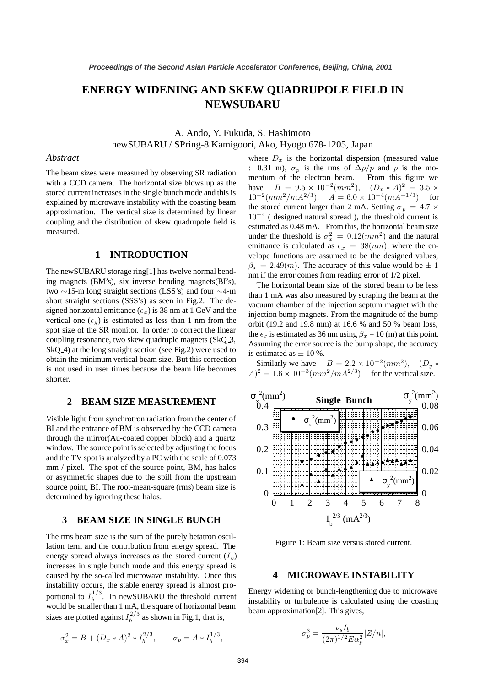# **ENERGY WIDENING AND SKEW QUADRUPOLE FIELD IN NEWSUBARU**

A. Ando, Y. Fukuda, S. Hashimoto

newSUBARU / SPring-8 Kamigoori, Ako, Hyogo 678-1205, Japan

## *Abstract*

The beam sizes were measured by observing SR radiation with a CCD camera. The horizontal size blows up as the stored current increases in the single bunch mode and this is explained by microwave instability with the coasting beam approximation. The vertical size is determined by linear coupling and the distribution of skew quadrupole field is measured.

# **1 INTRODUCTION**

The newSUBARU storage ring[1] has twelve normal bending magnets (BM's), six inverse bending magnets(BI's), two ∼15-m long straight sections (LSS's) and four ∼4-m short straight sections (SSS's) as seen in Fig.2. The designed horizontal emittance ( $\epsilon_x$ ) is 38 nm at 1 GeV and the vertical one  $(\epsilon_y)$  is estimated as less than 1 nm from the spot size of the SR monitor. In order to correct the linear coupling resonance, two skew quadruple magnets (SkQ 3, SkQ 4) at the long straight section (see Fig.2) were used to obtain the minimum vertical beam size. But this correction is not used in user times because the beam life becomes shorter.

## **2 BEAM SIZE MEASUREMENT**

Visible light from synchrotron radiation from the center of BI and the entrance of BM is observed by the CCD camera through the mirror(Au-coated copper block) and a quartz window. The source point is selected by adjusting the focus and the TV spot is analyzed by a PC with the scale of 0.073 mm / pixel. The spot of the source point, BM, has halos or asymmetric shapes due to the spill from the upstream source point, BI. The root-mean-square (rms) beam size is determined by ignoring these halos.

### **3 BEAM SIZE IN SINGLE BUNCH**

The rms beam size is the sum of the purely betatron oscillation term and the contribution from energy spread. The energy spread always increases as the stored current  $(I_b)$ increases in single bunch mode and this energy spread is caused by the so-called microwave instability. Once this instability occurs, the stable energy spread is almost proportional to  $I_b^{1/3}$ . In newSUBARU the threshold current<br>would be smaller than 1 mA, the square of horizontal beam would be smaller than 1 mA, the square of horizontal beam sizes are plotted against  $I_b^{2/3}$  as shown in Fig.1, that is,

$$
\sigma_x^2 = B + (D_x * A)^2 * I_b^{2/3}, \qquad \sigma_p = A * I_b^{1/3},
$$

where  $D_x$  is the horizontal dispersion (measured value : 0.31 m),  $\sigma_p$  is the rms of  $\Delta p/p$  and p is the momentum of the electron beam. From this figure we have  $B = 9.5 \times 10^{-2} (mm^2)$ ,  $(D_x * A)^2 = 3.5 \times$  $10^{-2}(mm^2/mA^{2/3}), \quad A = 6.0 \times 10^{-4}(mA^{-1/3})$  for the stored current larger than 2 mA. Setting  $\sigma_p = 4.7 \times$ 10*−*<sup>4</sup> ( designed natural spread ), the threshold current is under the threshold is  $\sigma_x^2 = 0.12 \, (mm^2)$  and the natural<br>emittance is calculated as  $\epsilon = 38 \, (nm)$ , where the enemittance is calculated as  $\epsilon_x = 38(nm)$ , where the envelope functions are assumed to be the designed values,  $\beta_x = 2.49(m)$ . The accuracy of this value would be  $\pm 1$ nm if the error comes from reading error of 1/2 pixel. estimated as 0.48 mA. From this, the horizontal beam size

The horizontal beam size of the stored beam to be less than 1 mA was also measured by scraping the beam at the vacuum chamber of the injection septum magnet with the injection bump magnets. From the magnitude of the bump orbit (19.2 and 19.8 mm) at 16.6 % and 50 % beam loss, the  $\epsilon_x$  is estimated as 36 nm using  $\beta_x = 10$  (m) at this point. Assuming the error source is the bump shape, the accuracy is estimated as  $\pm 10$  %.

Similarly we have  $B = 2.2 \times 10^{-2} (mm^2)$ ,  $(D_u *$  $A)^2 = 1.6 \times 10^{-3} (mm^2/mA^{2/3})$  for the vertical size.



Figure 1: Beam size versus stored current.

#### **4 MICROWAVE INSTABILITY**

Energy widening or bunch-lengthening due to microwave instability or turbulence is calculated using the coasting beam approximation[2]. This gives,

$$
\sigma_p^3 = \frac{\nu_s I_b}{(2\pi)^{1/2} E \alpha_p^2} |Z/n|,
$$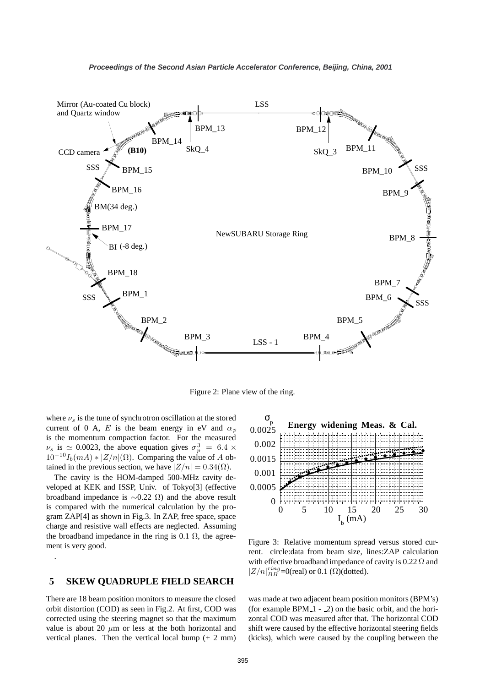

Figure 2: Plane view of the ring.

where  $\nu_s$  is the tune of synchrotron oscillation at the stored current of 0 A, E is the beam energy in eV and  $\alpha_p$ is the momentum compaction factor. For the measured  $\nu_s$  is  $\simeq 0.0023$ , the above equation gives  $\sigma_p^3 = 6.4 \times 10^{-10} L$  (m A)  $\star$   $|Z/n|$  (O). Comparing the value of A ob  $10^{-10}I_b(mA) * |Z/n|(\Omega)$ . Comparing the value of A obtained in the previous section, we have  $|Z/n| = 0.34(\Omega)$ .

The cavity is the HOM-damped 500-MHz cavity developed at KEK and ISSP, Univ. of Tokyo[3] (effective broadband impedance is  $\sim$ 0.22 Ω) and the above result is compared with the numerical calculation by the program ZAP[4] as shown in Fig.3. In ZAP, free space, space charge and resistive wall effects are neglected. Assuming the broadband impedance in the ring is 0.1  $\Omega$ , the agreement is very good.

# **5 SKEW QUADRUPLE FIELD SEARCH**

.

There are 18 beam position monitors to measure the closed orbit distortion (COD) as seen in Fig.2. At first, COD was corrected using the steering magnet so that the maximum value is about 20  $\mu$ m or less at the both horizontal and vertical planes. Then the vertical local bump (+ 2 mm)



Figure 3: Relative momentum spread versus stored current. circle:data from beam size, lines:ZAP calculation with effective broadband impedance of cavity is  $0.22 \Omega$  and  $|Z/n|_{BB}^{ring}=0$ (real) or 0.1 ( $\Omega$ )(dotted).

was made at two adjacent beam position monitors (BPM's) (for example BPM 1 - 2) on the basic orbit, and the horizontal COD was measured after that. The horizontal COD shift were caused by the effective horizontal steering fields (kicks), which were caused by the coupling between the